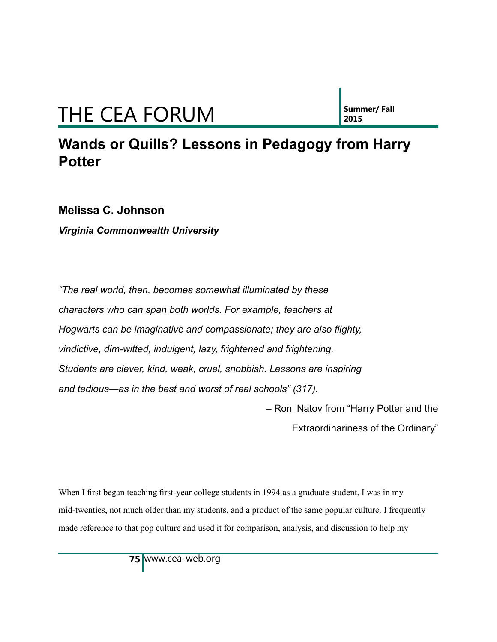**2015**

#### **Wands or Quills? Lessons in Pedagogy from Harry Potter**

**Melissa C. Johnson**

*Virginia Commonwealth University*

*"The real world, then, becomes somewhat illuminated by these characters who can span both worlds. For example, teachers at Hogwarts can be imaginative and compassionate; they are also flighty, vindictive, dim-witted, indulgent, lazy, frightened and frightening. Students are clever, kind, weak, cruel, snobbish. Lessons are inspiring and tedious—as in the best and worst of real schools" (317).* 

– Roni Natov from "Harry Potter and the

Extraordinariness of the Ordinary"

When I first began teaching first-year college students in 1994 as a graduate student, I was in my mid-twenties, not much older than my students, and a product of the same popular culture. I frequently made reference to that pop culture and used it for comparison, analysis, and discussion to help my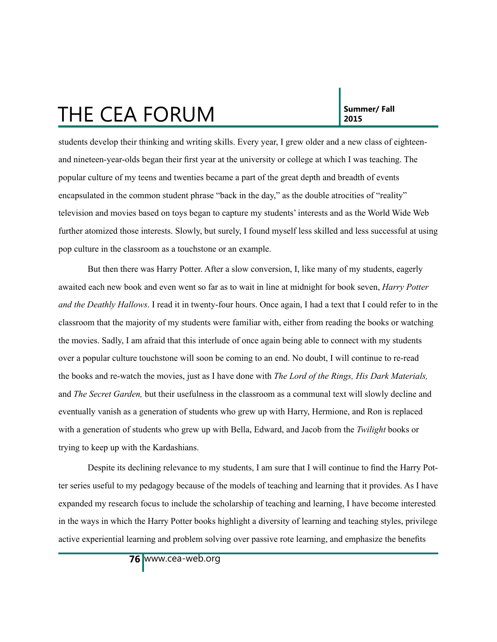students develop their thinking and writing skills. Every year, I grew older and a new class of eighteenand nineteen-year-olds began their first year at the university or college at which I was teaching. The popular culture of my teens and twenties became a part of the great depth and breadth of events encapsulated in the common student phrase "back in the day," as the double atrocities of "reality" television and movies based on toys began to capture my students' interests and as the World Wide Web further atomized those interests. Slowly, but surely, I found myself less skilled and less successful at using pop culture in the classroom as a touchstone or an example.

But then there was Harry Potter. After a slow conversion, I, like many of my students, eagerly awaited each new book and even went so far as to wait in line at midnight for book seven, *Harry Potter and the Deathly Hallows*. I read it in twenty-four hours. Once again, I had a text that I could refer to in the classroom that the majority of my students were familiar with, either from reading the books or watching the movies. Sadly, I am afraid that this interlude of once again being able to connect with my students over a popular culture touchstone will soon be coming to an end. No doubt, I will continue to re-read the books and re-watch the movies, just as I have done with *The Lord of the Rings, His Dark Materials,*  and *The Secret Garden,* but their usefulness in the classroom as a communal text will slowly decline and eventually vanish as a generation of students who grew up with Harry, Hermione, and Ron is replaced with a generation of students who grew up with Bella, Edward, and Jacob from the *Twilight* books or trying to keep up with the Kardashians.

Despite its declining relevance to my students, I am sure that I will continue to find the Harry Potter series useful to my pedagogy because of the models of teaching and learning that it provides. As I have expanded my research focus to include the scholarship of teaching and learning, I have become interested in the ways in which the Harry Potter books highlight a diversity of learning and teaching styles, privilege active experiential learning and problem solving over passive rote learning, and emphasize the benefits

www.cea-web.org **76**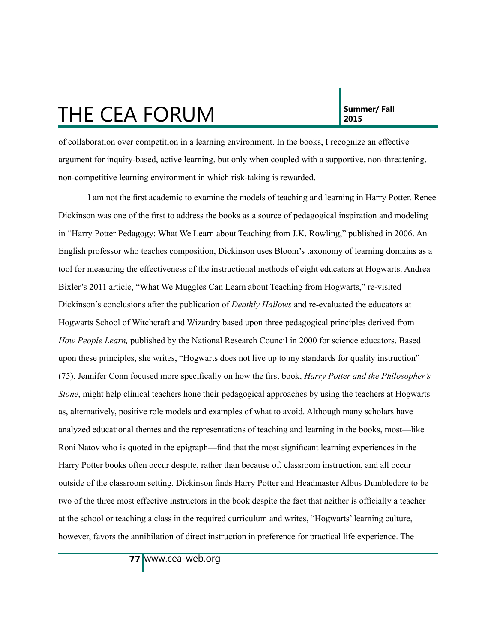**2015**

of collaboration over competition in a learning environment. In the books, I recognize an effective argument for inquiry-based, active learning, but only when coupled with a supportive, non-threatening, non-competitive learning environment in which risk-taking is rewarded.

I am not the first academic to examine the models of teaching and learning in Harry Potter. Renee Dickinson was one of the first to address the books as a source of pedagogical inspiration and modeling in "Harry Potter Pedagogy: What We Learn about Teaching from J.K. Rowling," published in 2006. An English professor who teaches composition, Dickinson uses Bloom's taxonomy of learning domains as a tool for measuring the effectiveness of the instructional methods of eight educators at Hogwarts. Andrea Bixler's 2011 article, "What We Muggles Can Learn about Teaching from Hogwarts," re-visited Dickinson's conclusions after the publication of *Deathly Hallows* and re-evaluated the educators at Hogwarts School of Witchcraft and Wizardry based upon three pedagogical principles derived from *How People Learn,* published by the National Research Council in 2000 for science educators. Based upon these principles, she writes, "Hogwarts does not live up to my standards for quality instruction" (75). Jennifer Conn focused more specifically on how the first book, *Harry Potter and the Philosopher's Stone*, might help clinical teachers hone their pedagogical approaches by using the teachers at Hogwarts as, alternatively, positive role models and examples of what to avoid. Although many scholars have analyzed educational themes and the representations of teaching and learning in the books, most—like Roni Natov who is quoted in the epigraph—find that the most significant learning experiences in the Harry Potter books often occur despite, rather than because of, classroom instruction, and all occur outside of the classroom setting. Dickinson finds Harry Potter and Headmaster Albus Dumbledore to be two of the three most effective instructors in the book despite the fact that neither is officially a teacher at the school or teaching a class in the required curriculum and writes, "Hogwarts' learning culture, however, favors the annihilation of direct instruction in preference for practical life experience. The

www.cea-web.org **77**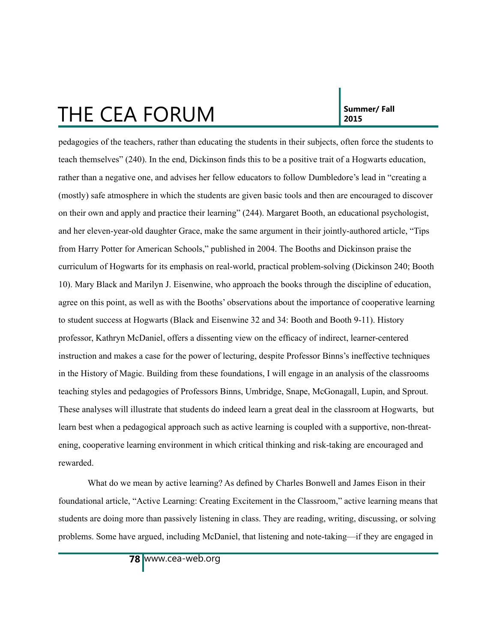pedagogies of the teachers, rather than educating the students in their subjects, often force the students to teach themselves" (240). In the end, Dickinson finds this to be a positive trait of a Hogwarts education, rather than a negative one, and advises her fellow educators to follow Dumbledore's lead in "creating a (mostly) safe atmosphere in which the students are given basic tools and then are encouraged to discover on their own and apply and practice their learning" (244). Margaret Booth, an educational psychologist, and her eleven-year-old daughter Grace, make the same argument in their jointly-authored article, "Tips from Harry Potter for American Schools," published in 2004. The Booths and Dickinson praise the curriculum of Hogwarts for its emphasis on real-world, practical problem-solving (Dickinson 240; Booth 10). Mary Black and Marilyn J. Eisenwine, who approach the books through the discipline of education, agree on this point, as well as with the Booths' observations about the importance of cooperative learning to student success at Hogwarts (Black and Eisenwine 32 and 34: Booth and Booth 9-11). History professor, Kathryn McDaniel, offers a dissenting view on the efficacy of indirect, learner-centered instruction and makes a case for the power of lecturing, despite Professor Binns's ineffective techniques in the History of Magic. Building from these foundations, I will engage in an analysis of the classrooms teaching styles and pedagogies of Professors Binns, Umbridge, Snape, McGonagall, Lupin, and Sprout. These analyses will illustrate that students do indeed learn a great deal in the classroom at Hogwarts, but learn best when a pedagogical approach such as active learning is coupled with a supportive, non-threatening, cooperative learning environment in which critical thinking and risk-taking are encouraged and rewarded.

What do we mean by active learning? As defined by Charles Bonwell and James Eison in their foundational article, "Active Learning: Creating Excitement in the Classroom," active learning means that students are doing more than passively listening in class. They are reading, writing, discussing, or solving problems. Some have argued, including McDaniel, that listening and note-taking—if they are engaged in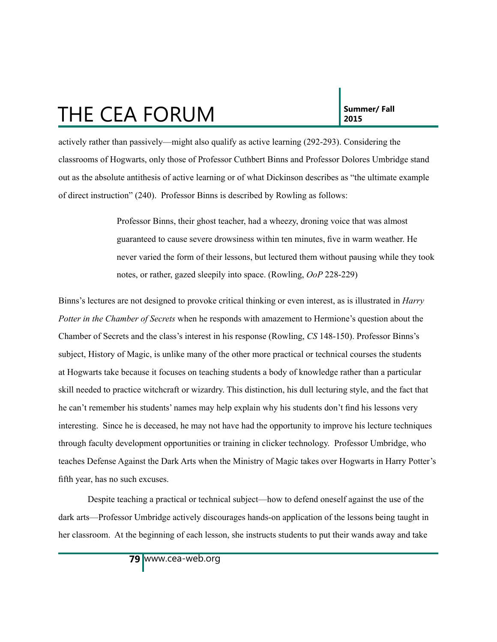actively rather than passively—might also qualify as active learning (292-293). Considering the classrooms of Hogwarts, only those of Professor Cuthbert Binns and Professor Dolores Umbridge stand out as the absolute antithesis of active learning or of what Dickinson describes as "the ultimate example of direct instruction" (240). Professor Binns is described by Rowling as follows:

> Professor Binns, their ghost teacher, had a wheezy, droning voice that was almost guaranteed to cause severe drowsiness within ten minutes, five in warm weather. He never varied the form of their lessons, but lectured them without pausing while they took notes, or rather, gazed sleepily into space. (Rowling, *OoP* 228-229)

Binns's lectures are not designed to provoke critical thinking or even interest, as is illustrated in *Harry Potter in the Chamber of Secrets* when he responds with amazement to Hermione's question about the Chamber of Secrets and the class's interest in his response (Rowling, *CS* 148-150). Professor Binns's subject, History of Magic, is unlike many of the other more practical or technical courses the students at Hogwarts take because it focuses on teaching students a body of knowledge rather than a particular skill needed to practice witchcraft or wizardry. This distinction, his dull lecturing style, and the fact that he can't remember his students' names may help explain why his students don't find his lessons very interesting. Since he is deceased, he may not have had the opportunity to improve his lecture techniques through faculty development opportunities or training in clicker technology. Professor Umbridge, who teaches Defense Against the Dark Arts when the Ministry of Magic takes over Hogwarts in Harry Potter's fifth year, has no such excuses.

Despite teaching a practical or technical subject—how to defend oneself against the use of the dark arts—Professor Umbridge actively discourages hands-on application of the lessons being taught in her classroom. At the beginning of each lesson, she instructs students to put their wands away and take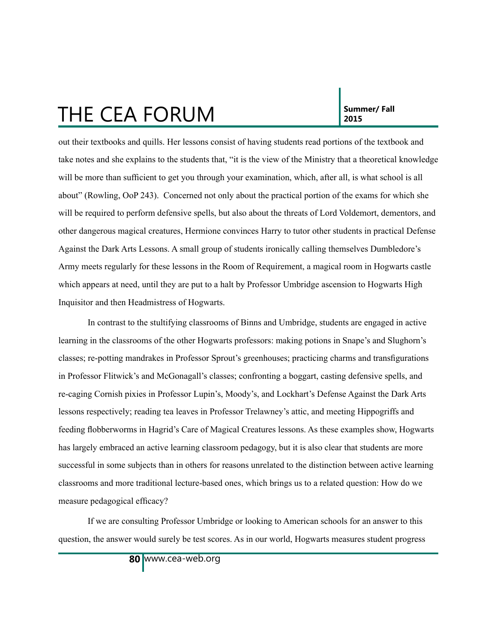**2015**

out their textbooks and quills. Her lessons consist of having students read portions of the textbook and take notes and she explains to the students that, "it is the view of the Ministry that a theoretical knowledge will be more than sufficient to get you through your examination, which, after all, is what school is all about" (Rowling, OoP 243). Concerned not only about the practical portion of the exams for which she will be required to perform defensive spells, but also about the threats of Lord Voldemort, dementors, and other dangerous magical creatures, Hermione convinces Harry to tutor other students in practical Defense Against the Dark Arts Lessons. A small group of students ironically calling themselves Dumbledore's Army meets regularly for these lessons in the Room of Requirement, a magical room in Hogwarts castle which appears at need, until they are put to a halt by Professor Umbridge ascension to Hogwarts High Inquisitor and then Headmistress of Hogwarts.

In contrast to the stultifying classrooms of Binns and Umbridge, students are engaged in active learning in the classrooms of the other Hogwarts professors: making potions in Snape's and Slughorn's classes; re-potting mandrakes in Professor Sprout's greenhouses; practicing charms and transfigurations in Professor Flitwick's and McGonagall's classes; confronting a boggart, casting defensive spells, and re-caging Cornish pixies in Professor Lupin's, Moody's, and Lockhart's Defense Against the Dark Arts lessons respectively; reading tea leaves in Professor Trelawney's attic, and meeting Hippogriffs and feeding flobberworms in Hagrid's Care of Magical Creatures lessons. As these examples show, Hogwarts has largely embraced an active learning classroom pedagogy, but it is also clear that students are more successful in some subjects than in others for reasons unrelated to the distinction between active learning classrooms and more traditional lecture-based ones, which brings us to a related question: How do we measure pedagogical efficacy?

If we are consulting Professor Umbridge or looking to American schools for an answer to this question, the answer would surely be test scores. As in our world, Hogwarts measures student progress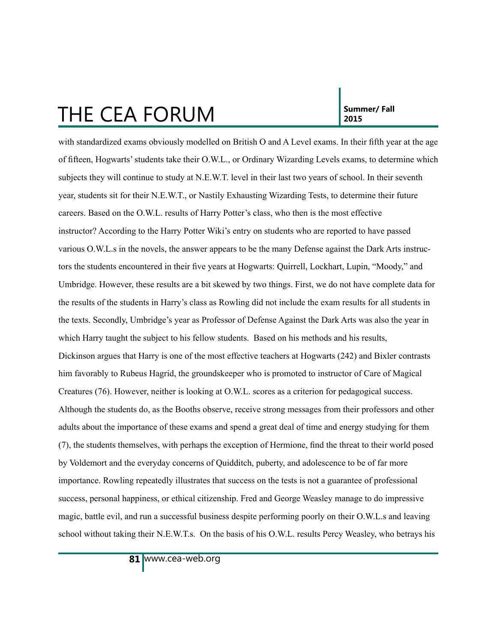with standardized exams obviously modelled on British O and A Level exams. In their fifth year at the age of fifteen, Hogwarts' students take their O.W.L., or Ordinary Wizarding Levels exams, to determine which subjects they will continue to study at N.E.W.T. level in their last two years of school. In their seventh year, students sit for their N.E.W.T., or Nastily Exhausting Wizarding Tests, to determine their future careers. Based on the O.W.L. results of Harry Potter's class, who then is the most effective instructor? According to the Harry Potter Wiki's entry on students who are reported to have passed various O.W.L.s in the novels, the answer appears to be the many Defense against the Dark Arts instructors the students encountered in their five years at Hogwarts: Quirrell, Lockhart, Lupin, "Moody," and Umbridge. However, these results are a bit skewed by two things. First, we do not have complete data for the results of the students in Harry's class as Rowling did not include the exam results for all students in the texts. Secondly, Umbridge's year as Professor of Defense Against the Dark Arts was also the year in which Harry taught the subject to his fellow students. Based on his methods and his results, Dickinson argues that Harry is one of the most effective teachers at Hogwarts (242) and Bixler contrasts him favorably to Rubeus Hagrid, the groundskeeper who is promoted to instructor of Care of Magical Creatures (76). However, neither is looking at O.W.L. scores as a criterion for pedagogical success. Although the students do, as the Booths observe, receive strong messages from their professors and other adults about the importance of these exams and spend a great deal of time and energy studying for them (7), the students themselves, with perhaps the exception of Hermione, find the threat to their world posed by Voldemort and the everyday concerns of Quidditch, puberty, and adolescence to be of far more importance. Rowling repeatedly illustrates that success on the tests is not a guarantee of professional success, personal happiness, or ethical citizenship. Fred and George Weasley manage to do impressive magic, battle evil, and run a successful business despite performing poorly on their O.W.L.s and leaving school without taking their N.E.W.T.s. On the basis of his O.W.L. results Percy Weasley, who betrays his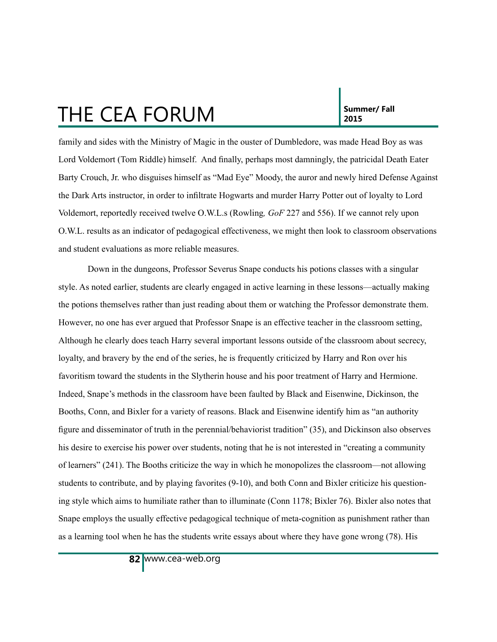family and sides with the Ministry of Magic in the ouster of Dumbledore, was made Head Boy as was Lord Voldemort (Tom Riddle) himself. And finally, perhaps most damningly, the patricidal Death Eater Barty Crouch, Jr. who disguises himself as "Mad Eye" Moody, the auror and newly hired Defense Against the Dark Arts instructor, in order to infiltrate Hogwarts and murder Harry Potter out of loyalty to Lord Voldemort, reportedly received twelve O.W.L.s (Rowling*, GoF* 227 and 556). If we cannot rely upon O.W.L. results as an indicator of pedagogical effectiveness, we might then look to classroom observations and student evaluations as more reliable measures.

Down in the dungeons, Professor Severus Snape conducts his potions classes with a singular style. As noted earlier, students are clearly engaged in active learning in these lessons—actually making the potions themselves rather than just reading about them or watching the Professor demonstrate them. However, no one has ever argued that Professor Snape is an effective teacher in the classroom setting, Although he clearly does teach Harry several important lessons outside of the classroom about secrecy, loyalty, and bravery by the end of the series, he is frequently criticized by Harry and Ron over his favoritism toward the students in the Slytherin house and his poor treatment of Harry and Hermione. Indeed, Snape's methods in the classroom have been faulted by Black and Eisenwine, Dickinson, the Booths, Conn, and Bixler for a variety of reasons. Black and Eisenwine identify him as "an authority figure and disseminator of truth in the perennial/behaviorist tradition" (35), and Dickinson also observes his desire to exercise his power over students, noting that he is not interested in "creating a community of learners" (241). The Booths criticize the way in which he monopolizes the classroom—not allowing students to contribute, and by playing favorites (9-10), and both Conn and Bixler criticize his questioning style which aims to humiliate rather than to illuminate (Conn 1178; Bixler 76). Bixler also notes that Snape employs the usually effective pedagogical technique of meta-cognition as punishment rather than as a learning tool when he has the students write essays about where they have gone wrong (78). His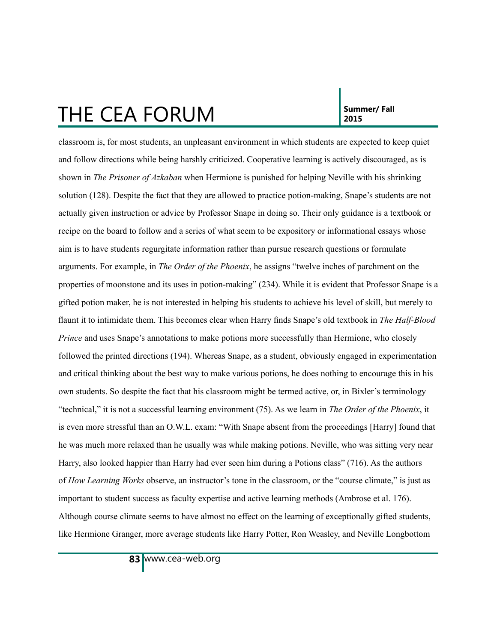classroom is, for most students, an unpleasant environment in which students are expected to keep quiet and follow directions while being harshly criticized. Cooperative learning is actively discouraged, as is shown in *The Prisoner of Azkaban* when Hermione is punished for helping Neville with his shrinking solution (128). Despite the fact that they are allowed to practice potion-making, Snape's students are not actually given instruction or advice by Professor Snape in doing so. Their only guidance is a textbook or recipe on the board to follow and a series of what seem to be expository or informational essays whose aim is to have students regurgitate information rather than pursue research questions or formulate arguments. For example, in *The Order of the Phoenix*, he assigns "twelve inches of parchment on the properties of moonstone and its uses in potion-making" (234). While it is evident that Professor Snape is a gifted potion maker, he is not interested in helping his students to achieve his level of skill, but merely to flaunt it to intimidate them. This becomes clear when Harry finds Snape's old textbook in *The Half-Blood Prince* and uses Snape's annotations to make potions more successfully than Hermione, who closely followed the printed directions (194). Whereas Snape, as a student, obviously engaged in experimentation and critical thinking about the best way to make various potions, he does nothing to encourage this in his own students. So despite the fact that his classroom might be termed active, or, in Bixler's terminology "technical," it is not a successful learning environment (75). As we learn in *The Order of the Phoenix*, it is even more stressful than an O.W.L. exam: "With Snape absent from the proceedings [Harry] found that he was much more relaxed than he usually was while making potions. Neville, who was sitting very near Harry, also looked happier than Harry had ever seen him during a Potions class" (716). As the authors of *How Learning Works* observe, an instructor's tone in the classroom, or the "course climate," is just as important to student success as faculty expertise and active learning methods (Ambrose et al. 176). Although course climate seems to have almost no effect on the learning of exceptionally gifted students, like Hermione Granger, more average students like Harry Potter, Ron Weasley, and Neville Longbottom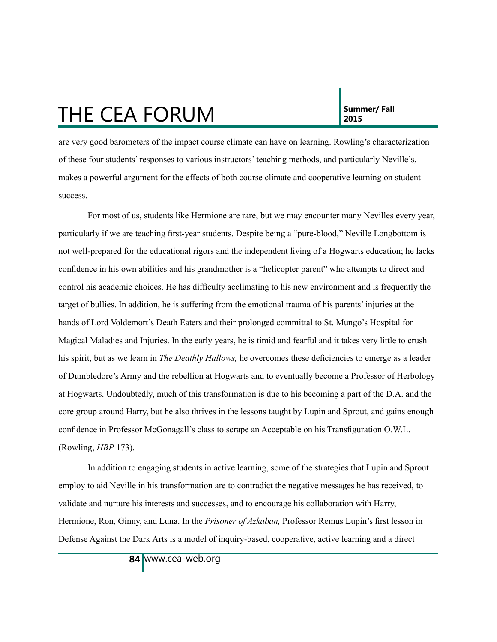are very good barometers of the impact course climate can have on learning. Rowling's characterization of these four students' responses to various instructors' teaching methods, and particularly Neville's, makes a powerful argument for the effects of both course climate and cooperative learning on student success.

For most of us, students like Hermione are rare, but we may encounter many Nevilles every year, particularly if we are teaching first-year students. Despite being a "pure-blood," Neville Longbottom is not well-prepared for the educational rigors and the independent living of a Hogwarts education; he lacks confidence in his own abilities and his grandmother is a "helicopter parent" who attempts to direct and control his academic choices. He has difficulty acclimating to his new environment and is frequently the target of bullies. In addition, he is suffering from the emotional trauma of his parents' injuries at the hands of Lord Voldemort's Death Eaters and their prolonged committal to St. Mungo's Hospital for Magical Maladies and Injuries. In the early years, he is timid and fearful and it takes very little to crush his spirit, but as we learn in *The Deathly Hallows,* he overcomes these deficiencies to emerge as a leader of Dumbledore's Army and the rebellion at Hogwarts and to eventually become a Professor of Herbology at Hogwarts. Undoubtedly, much of this transformation is due to his becoming a part of the D.A. and the core group around Harry, but he also thrives in the lessons taught by Lupin and Sprout, and gains enough confidence in Professor McGonagall's class to scrape an Acceptable on his Transfiguration O.W.L. (Rowling, *HBP* 173).

In addition to engaging students in active learning, some of the strategies that Lupin and Sprout employ to aid Neville in his transformation are to contradict the negative messages he has received, to validate and nurture his interests and successes, and to encourage his collaboration with Harry, Hermione, Ron, Ginny, and Luna. In the *Prisoner of Azkaban,* Professor Remus Lupin's first lesson in Defense Against the Dark Arts is a model of inquiry-based, cooperative, active learning and a direct

www.cea-web.org **84**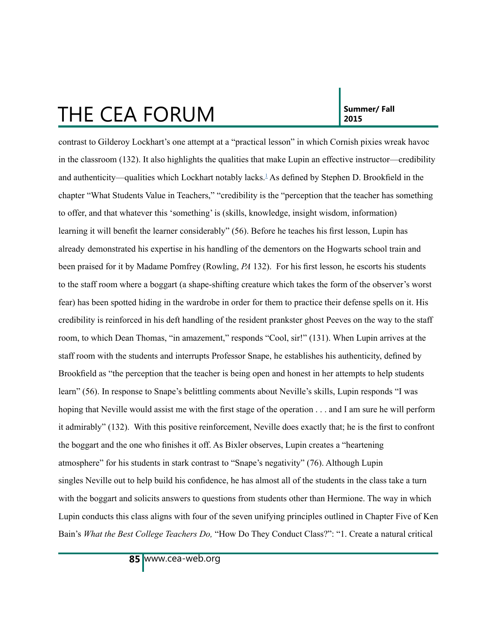<span id="page-10-0"></span>contrast to Gilderoy Lockhart's one attempt at a "practical lesson" in which Cornish pixies wreak havoc in the classroom (132). It also highlights the qualities that make Lupin an effective instructor—credibility and authenticity—qualities which Lockhart notably lacks.<sup>[1](#page-15-0)</sup> As defined by Stephen D. Brookfield in the chapter "What Students Value in Teachers," "credibility is the "perception that the teacher has something to offer, and that whatever this 'something' is (skills, knowledge, insight wisdom, information) learning it will benefit the learner considerably" (56). Before he teaches his first lesson, Lupin has already demonstrated his expertise in his handling of the dementors on the Hogwarts school train and been praised for it by Madame Pomfrey (Rowling, *PA* 132). For his first lesson, he escorts his students to the staff room where a boggart (a shape-shifting creature which takes the form of the observer's worst fear) has been spotted hiding in the wardrobe in order for them to practice their defense spells on it. His credibility is reinforced in his deft handling of the resident prankster ghost Peeves on the way to the staff room, to which Dean Thomas, "in amazement," responds "Cool, sir!" (131). When Lupin arrives at the staff room with the students and interrupts Professor Snape, he establishes his authenticity, defined by Brookfield as "the perception that the teacher is being open and honest in her attempts to help students learn" (56). In response to Snape's belittling comments about Neville's skills, Lupin responds "I was hoping that Neville would assist me with the first stage of the operation . . . and I am sure he will perform it admirably" (132). With this positive reinforcement, Neville does exactly that; he is the first to confront the boggart and the one who finishes it off. As Bixler observes, Lupin creates a "heartening atmosphere" for his students in stark contrast to "Snape's negativity" (76). Although Lupin singles Neville out to help build his confidence, he has almost all of the students in the class take a turn with the boggart and solicits answers to questions from students other than Hermione. The way in which Lupin conducts this class aligns with four of the seven unifying principles outlined in Chapter Five of Ken Bain's *What the Best College Teachers Do,* "How Do They Conduct Class?": "1. Create a natural critical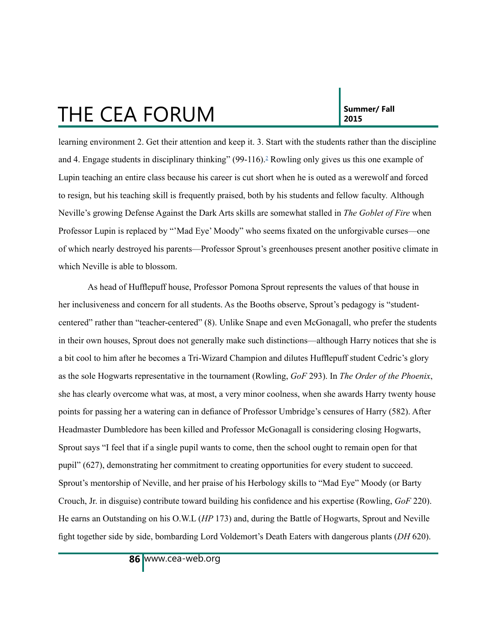<span id="page-11-0"></span>learning environment 2. Get their attention and keep it. 3. Start with the students rather than the discipline and 4. Engage students in disciplinary thinking" (99-116).<sup>2</sup> Rowling only gives us this one example of Lupin teaching an entire class because his career is cut short when he is outed as a werewolf and forced to resign, but his teaching skill is frequently praised, both by his students and fellow faculty*.* Although Neville's growing Defense Against the Dark Arts skills are somewhat stalled in *The Goblet of Fire* when Professor Lupin is replaced by "'Mad Eye' Moody" who seems fixated on the unforgivable curses—one of which nearly destroyed his parents—Professor Sprout's greenhouses present another positive climate in which Neville is able to blossom.

As head of Hufflepuff house, Professor Pomona Sprout represents the values of that house in her inclusiveness and concern for all students. As the Booths observe, Sprout's pedagogy is "studentcentered" rather than "teacher-centered" (8). Unlike Snape and even McGonagall, who prefer the students in their own houses, Sprout does not generally make such distinctions—although Harry notices that she is a bit cool to him after he becomes a Tri-Wizard Champion and dilutes Hufflepuff student Cedric's glory as the sole Hogwarts representative in the tournament (Rowling, *GoF* 293). In *The Order of the Phoenix*, she has clearly overcome what was, at most, a very minor coolness, when she awards Harry twenty house points for passing her a watering can in defiance of Professor Umbridge's censures of Harry (582). After Headmaster Dumbledore has been killed and Professor McGonagall is considering closing Hogwarts, Sprout says "I feel that if a single pupil wants to come, then the school ought to remain open for that pupil" (627), demonstrating her commitment to creating opportunities for every student to succeed. Sprout's mentorship of Neville, and her praise of his Herbology skills to "Mad Eye" Moody (or Barty Crouch, Jr. in disguise) contribute toward building his confidence and his expertise (Rowling, *GoF* 220). He earns an Outstanding on his O.W.L (*HP* 173) and, during the Battle of Hogwarts, Sprout and Neville fight together side by side, bombarding Lord Voldemort's Death Eaters with dangerous plants (*DH* 620).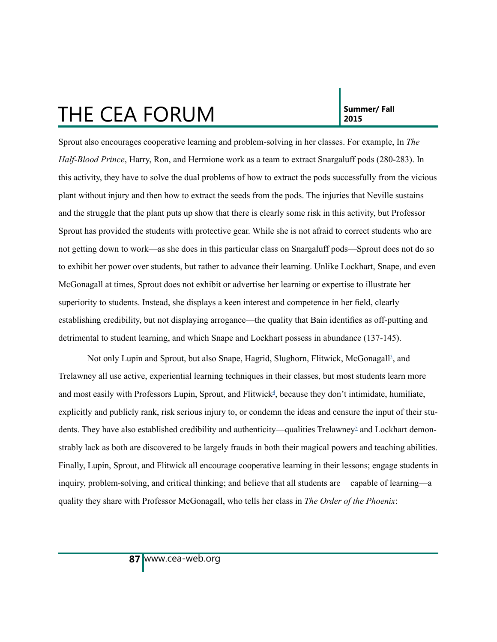<span id="page-12-0"></span>Sprout also encourages cooperative learning and problem-solving in her classes. For example, In *The Half-Blood Prince*, Harry, Ron, and Hermione work as a team to extract Snargaluff pods (280-283). In this activity, they have to solve the dual problems of how to extract the pods successfully from the vicious plant without injury and then how to extract the seeds from the pods. The injuries that Neville sustains and the struggle that the plant puts up show that there is clearly some risk in this activity, but Professor Sprout has provided the students with protective gear. While she is not afraid to correct students who are not getting down to work—as she does in this particular class on Snargaluff pods—Sprout does not do so to exhibit her power over students, but rather to advance their learning. Unlike Lockhart, Snape, and even McGonagall at times, Sprout does not exhibit or advertise her learning or expertise to illustrate her superiority to students. Instead, she displays a keen interest and competence in her field, clearly establishing credibility, but not displaying arrogance—the quality that Bain identifies as off-putting and detrimental to student learning, and which Snape and Lockhart possess in abundance (137-145).

Not only Lupin and Sprout, but also Snape, Hagrid, Slughorn, Flitwick, McGonagall<sup>[3](#page-15-0)</sup>, and Trelawney all use active, experiential learning techniques in their classes, but most students learn more and most easily with Professors Lupin, Sprout, and Flitwick<sup>[4](#page-14-0)</sup>, because they don't intimidate, humiliate, explicitly and publicly rank, risk serious injury to, or condemn the ideas and censure the input of their stu-dents. They have also established credibility and authenticity—qualities Trelawney<sup>[5](#page-14-0)</sup> and Lockhart demonstrably lack as both are discovered to be largely frauds in both their magical powers and teaching abilities. Finally, Lupin, Sprout, and Flitwick all encourage cooperative learning in their lessons; engage students in inquiry, problem-solving, and critical thinking; and believe that all students are capable of learning—a quality they share with Professor McGonagall, who tells her class in *The Order of the Phoenix*: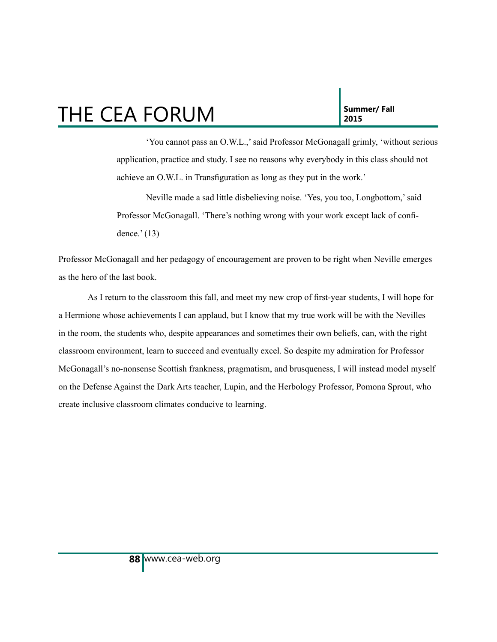<span id="page-13-0"></span>'You cannot pass an O.W.L.,' said Professor McGonagall grimly, 'without serious application, practice and study. I see no reasons why everybody in this class should not achieve an O.W.L. in Transfiguration as long as they put in the work.'

Neville made a sad little disbelieving noise. 'Yes, you too, Longbottom,' said Professor McGonagall. 'There's nothing wrong with your work except lack of confidence.' (13)

Professor McGonagall and her pedagogy of encouragement are proven to be right when Neville emerges as the hero of the last book.

As I return to the classroom this fall, and meet my new crop of first-year students, I will hope for a Hermione whose achievements I can applaud, but I know that my true work will be with the Nevilles in the room, the students who, despite appearances and sometimes their own beliefs, can, with the right classroom environment, learn to succeed and eventually excel. So despite my admiration for Professor McGonagall's no-nonsense Scottish frankness, pragmatism, and brusqueness, I will instead model myself on the Defense Against the Dark Arts teacher, Lupin, and the Herbology Professor, Pomona Sprout, who create inclusive classroom climates conducive to learning.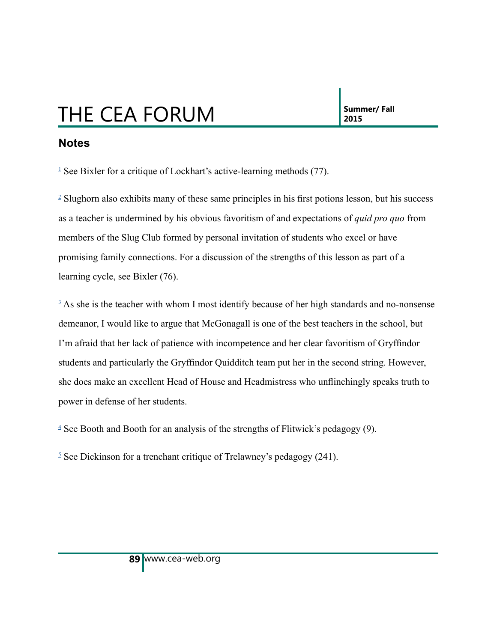#### <span id="page-14-0"></span>**Notes**

<sup>[1](#page-10-0)</sup> See Bixler for a critique of Lockhart's active-learning methods  $(77)$ .

<sup>[2](#page-11-0)</sup> Slughorn also exhibits many of these same principles in his first potions lesson, but his success as a teacher is undermined by his obvious favoritism of and expectations of *quid pro quo* from members of the Slug Club formed by personal invitation of students who excel or have promising family connections. For a discussion of the strengths of this lesson as part of a learning cycle, see Bixler (76).

<sup>[3](#page-12-0)</sup> As she is the teacher with whom I most identify because of her high standards and no-nonsense demeanor, I would like to argue that McGonagall is one of the best teachers in the school, but I'm afraid that her lack of patience with incompetence and her clear favoritism of Gryffindor students and particularly the Gryffindor Quidditch team put her in the second string. However, she does make an excellent Head of House and Headmistress who unflinchingly speaks truth to power in defense of her students.

 $4$  See Booth and Booth for an analysis of the strengths of Flitwick's pedagogy (9).

 $5$  See Dickinson for a trenchant critique of Trelawney's pedagogy (241).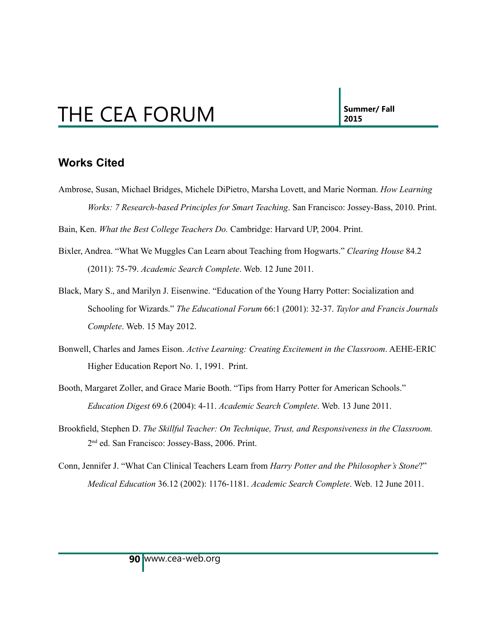#### <span id="page-15-0"></span>**Works Cited**

Ambrose, Susan, Michael Bridges, Michele DiPietro, Marsha Lovett, and Marie Norman. *How Learning Works: 7 Research-based Principles for Smart Teaching*. San Francisco: Jossey-Bass, 2010. Print.

Bain, Ken. *What the Best College Teachers Do.* Cambridge: Harvard UP, 2004. Print.

- Bixler, Andrea. "What We Muggles Can Learn about Teaching from Hogwarts." *Clearing House* 84.2 (2011): 75-79. *Academic Search Complete*. Web. 12 June 2011.
- Black, Mary S., and Marilyn J. Eisenwine. "Education of the Young Harry Potter: Socialization and Schooling for Wizards." *The Educational Forum* 66:1 (2001): 32-37. *Taylor and Francis Journals Complete*. Web. 15 May 2012.
- Bonwell, Charles and James Eison. *Active Learning: Creating Excitement in the Classroom*. AEHE-ERIC Higher Education Report No. 1, 1991. Print.
- Booth, Margaret Zoller, and Grace Marie Booth. "Tips from Harry Potter for American Schools." *Education Digest* 69.6 (2004): 4-11. *Academic Search Complete*. Web. 13 June 2011.
- Brookfield, Stephen D. *The Skillful Teacher: On Technique, Trust, and Responsiveness in the Classroom.*  2nd ed. San Francisco: Jossey-Bass, 2006. Print.
- Conn, Jennifer J. "What Can Clinical Teachers Learn from *Harry Potter and the Philosopher's Stone*?" *Medical Education* 36.12 (2002): 1176-1181. *Academic Search Complete*. Web. 12 June 2011.